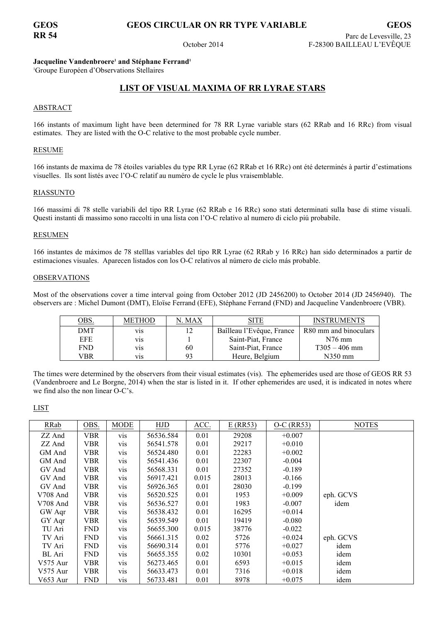## **GEOS CIRCULAR ON RR TYPE VARIABLE**

October 2014

Jacqueline Vandenbroere<sup>1</sup> and Stéphane Ferrand<sup>1</sup>

<sup>1</sup>Groupe Européen d'Observations Stellaires

# LIST OF VISUAL MAXIMA OF RR LYRAE STARS

### **ABSTRACT**

166 instants of maximum light have been determined for 78 RR Lyrae variable stars (62 RRab and 16 RRc) from visual estimates. They are listed with the O-C relative to the most probable cycle number.

#### **RESUME**

166 instants de maxima de 78 étoiles variables du type RR Lyrae (62 RRab et 16 RRc) ont été determinés à partir d'estimations visuelles. Ils sont listés avec l'O-C relatif au numéro de cycle le plus vraisemblable.

### **RIASSUNTO**

166 massimi di 78 stelle variabili del tipo RR Lyrae (62 RRab e 16 RRc) sono stati determinati sulla base di stime visuali. Questi instanti di massimo sono raccolti in una lista con l'O-C relativo al numero di ciclo più probabile.

#### **RESUMEN**

166 instantes de máximos de 78 stelllas variables del tipo RR Lyrae (62 RRab y 16 RRc) han sido determinados a partir de estimaciones visuales. Aparecen listados con los O-C relativos al número de ciclo más probable.

### **OBSERVATIONS**

Most of the observations cover a time interval going from October 2012 (JD 2456200) to October 2014 (JD 2456940). The observers are : Michel Dumont (DMT), Eloïse Ferrand (EFE), Stéphane Ferrand (FND) and Jacqueline Vandenbroere (VBR).

| <u>OBS.</u> | <b>METHOD</b>    | N. MAX | SITE                      | <b>INSTRUMENTS</b>    |
|-------------|------------------|--------|---------------------------|-----------------------|
| <b>DMT</b>  | V1S              | 12     | Baîlleau l'Evêque, France | R80 mm and binoculars |
| EFE.        | V <sub>1</sub> S |        | Saint-Piat, France        | $N76$ mm              |
| <b>FND</b>  | <b>V1S</b>       | 60     | Saint-Piat, France        | $T305 - 406$ mm       |
| VBR         | V1S              | 93     | Heure, Belgium            | $N350$ mm             |

The times were determined by the observers from their visual estimates (vis). The ephemerides used are those of GEOS RR 53 (Vandenbroere and Le Borgne, 2014) when the star is listed in it. If other ephemerides are used, it is indicated in notes where we find also the non linear O-C's.

#### **LIST**

| RRab       | OBS.       | <b>MODE</b> | HJD       | ACC.  | $E$ (RR53) | $O-C$ (RR53) | <b>NOTES</b> |
|------------|------------|-------------|-----------|-------|------------|--------------|--------------|
| ZZ And     | <b>VBR</b> | <b>vis</b>  | 56536.584 | 0.01  | 29208      | $+0.007$     |              |
| ZZ And     | VBR        | <b>VIS</b>  | 56541.578 | 0.01  | 29217      | $+0.010$     |              |
| GM And     | VBR        | <b>VIS</b>  | 56524.480 | 0.01  | 22283      | $+0.002$     |              |
| GM And     | VBR        | <b>VIS</b>  | 56541.436 | 0.01  | 22307      | $-0.004$     |              |
| GV And     | VBR        | <b>VIS</b>  | 56568.331 | 0.01  | 27352      | $-0.189$     |              |
| GV And     | <b>VBR</b> | <b>VIS</b>  | 56917.421 | 0.015 | 28013      | $-0.166$     |              |
| GV And     | <b>VBR</b> | <b>VIS</b>  | 56926.365 | 0.01  | 28030      | $-0.199$     |              |
| V708 And   | VBR        | <b>VIS</b>  | 56520.525 | 0.01  | 1953       | $+0.009$     | eph. GCVS    |
| V708 And   | <b>VBR</b> | <b>vis</b>  | 56536.527 | 0.01  | 1983       | $-0.007$     | idem         |
| GW Aqr     | <b>VBR</b> | <b>vis</b>  | 56538.432 | 0.01  | 16295      | $+0.014$     |              |
| GY Aqr     | VBR        | <b>VIS</b>  | 56539.549 | 0.01  | 19419      | $-0.080$     |              |
| TU Ari     | FND        | <b>vis</b>  | 56655.300 | 0.015 | 38776      | $-0.022$     |              |
| TV Ari     | FND        | <b>vis</b>  | 56661.315 | 0.02  | 5726       | $+0.024$     | eph. GCVS    |
| TV Ari     | FND        | <b>VIS</b>  | 56690.314 | 0.01  | 5776       | $+0.027$     | idem         |
| BL Ari     | <b>FND</b> | <b>V1S</b>  | 56655.355 | 0.02  | 10301      | $+0.053$     | idem         |
| $V575$ Aur | <b>VBR</b> | <b>V1S</b>  | 56273.465 | 0.01  | 6593       | $+0.015$     | idem         |
| V575 Aur   | VBR        | <b>V1S</b>  | 56633.473 | 0.01  | 7316       | $+0.018$     | idem         |
| V653 Aur   | FND        | <b>VIS</b>  | 56733.481 | 0.01  | 8978       | $+0.075$     | idem         |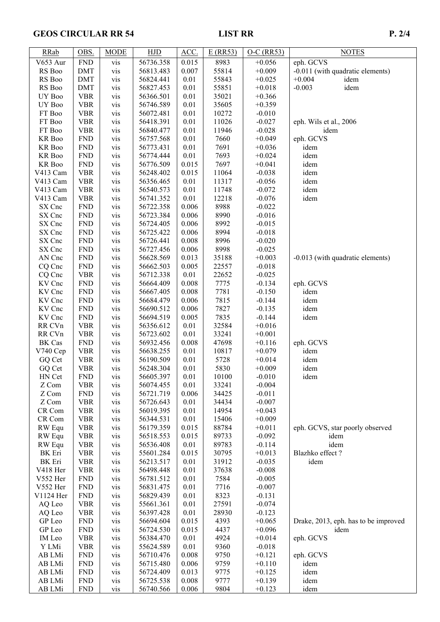# GEOS CIRCULAR RR 54 LIST RR D. 2/4

| <b>RRab</b>     | OBS.        | <b>MODE</b> | HJD       | ACC.  | $E$ (RR53) | $O-C$ (RR53) | <b>NOTES</b>                         |
|-----------------|-------------|-------------|-----------|-------|------------|--------------|--------------------------------------|
| <b>V653 Aur</b> | ${\rm FND}$ | vis         | 56736.358 | 0.015 | 8983       | $+0.056$     | eph. GCVS                            |
| RS Boo          | <b>DMT</b>  | vis         | 56813.483 | 0.007 | 55814      | $+0.009$     | -0.011 (with quadratic elements)     |
| RS Boo          | <b>DMT</b>  | vis         | 56824.441 | 0.01  | 55843      | $+0.025$     | $+0.004$<br>idem                     |
| RS Boo          | <b>DMT</b>  | vis         | 56827.453 | 0.01  | 55851      | $+0.018$     | $-0.003$<br>idem                     |
| UY Boo          | <b>VBR</b>  | vis         | 56366.501 | 0.01  | 35021      | $+0.366$     |                                      |
| UY Boo          | <b>VBR</b>  | vis         | 56746.589 | 0.01  | 35605      | $+0.359$     |                                      |
| FT Boo          | <b>VBR</b>  | vis         | 56072.481 | 0.01  | 10272      | $-0.010$     |                                      |
| FT Boo          | <b>VBR</b>  | vis         | 56418.391 | 0.01  | 11026      | $-0.027$     | eph. Wils et al., 2006               |
| FT Boo          | <b>VBR</b>  | vis         | 56840.477 | 0.01  | 11946      | $-0.028$     | idem                                 |
| KR Boo          | <b>FND</b>  | vis         | 56757.568 | 0.01  | 7660       | $+0.049$     | eph. GCVS                            |
| KR Boo          | <b>FND</b>  | vis         | 56773.431 | 0.01  | 7691       | $+0.036$     | idem                                 |
| KR Boo          | <b>FND</b>  | vis         | 56774.444 | 0.01  | 7693       | $+0.024$     | idem                                 |
| KR Boo          | <b>FND</b>  | vis         | 56776.509 | 0.015 | 7697       | $+0.041$     | idem                                 |
| V413 Cam        | <b>VBR</b>  | vis         | 56248.402 | 0.015 | 11064      | $-0.038$     | idem                                 |
| V413 Cam        | <b>VBR</b>  | vis         | 56356.465 | 0.01  | 11317      | $-0.056$     | idem                                 |
| V413 Cam        | <b>VBR</b>  | vis         | 56540.573 | 0.01  | 11748      | $-0.072$     | idem                                 |
| V413 Cam        | <b>VBR</b>  | vis         | 56741.352 | 0.01  | 12218      | $-0.076$     | idem                                 |
| SX Cnc          | ${\rm FND}$ | vis         | 56722.358 | 0.006 | 8988       | $-0.022$     |                                      |
| SX Cnc          | <b>FND</b>  | vis         | 56723.384 | 0.006 | 8990       | $-0.016$     |                                      |
| SX Cnc          | <b>FND</b>  | vis         | 56724.405 | 0.006 | 8992       | $-0.015$     |                                      |
| SX Cnc          | <b>FND</b>  | vis         | 56725.422 | 0.006 | 8994       | $-0.018$     |                                      |
| SX Cnc          | <b>FND</b>  | vis         | 56726.441 | 0.008 | 8996       | $-0.020$     |                                      |
| SX Cnc          | <b>FND</b>  | vis         | 56727.456 | 0.006 | 8998       | $-0.025$     |                                      |
| AN Cnc          | <b>FND</b>  | vis         | 56628.569 | 0.013 | 35188      | $+0.003$     | -0.013 (with quadratic elements)     |
| CQ Cnc          | <b>FND</b>  | vis         | 56662.503 | 0.005 | 22557      | $-0.018$     |                                      |
| CQ Cnc          | <b>VBR</b>  | vis         | 56712.338 | 0.01  | 22652      | $-0.025$     |                                      |
| KV Cnc          | <b>FND</b>  | vis         | 56664.409 | 0.008 | 7775       | $-0.134$     | eph. GCVS                            |
| KV Cnc          | <b>FND</b>  | vis         | 56667.405 | 0.008 | 7781       | $-0.150$     | idem                                 |
| KV Cnc          | <b>FND</b>  | vis         | 56684.479 | 0.006 | 7815       | $-0.144$     | idem                                 |
| KV Cnc          | <b>FND</b>  | vis         | 56690.512 | 0.006 | 7827       | $-0.135$     | idem                                 |
| KV Cnc          | <b>FND</b>  | vis         | 56694.519 | 0.005 | 7835       | $-0.144$     | idem                                 |
| RR CVn          | <b>VBR</b>  | vis         | 56356.612 | 0.01  | 32584      | $+0.016$     |                                      |
| RR CVn          | <b>VBR</b>  | vis         | 56723.602 | 0.01  | 33241      | $+0.001$     |                                      |
| <b>BK</b> Cas   | <b>FND</b>  | vis         | 56932.456 | 0.008 | 47698      | $+0.116$     | eph. GCVS                            |
| V740 Cep        | <b>VBR</b>  | vis         | 56638.255 | 0.01  | 10817      | $+0.079$     | idem                                 |
| GQ Cet          | <b>VBR</b>  | vis         | 56190.509 | 0.01  | 5728       | $+0.014$     | idem                                 |
| GQ Cet          | <b>VBR</b>  | vis         | 56248.304 | 0.01  | 5830       | $+0.009$     | idem                                 |
| HN Cet          | <b>FND</b>  | vis         | 56605.397 | 0.01  | 10100      | $-0.010$     | idem                                 |
| Z Com           | <b>VBR</b>  | <b>vis</b>  | 56074.455 | 0.01  | 33241      | $-0.004$     |                                      |
| Z Com           | <b>FND</b>  | <b>vis</b>  | 56721.719 | 0.006 | 34425      | $-0.011$     |                                      |
| Z Com           | <b>VBR</b>  | vis         | 56726.643 | 0.01  | 34434      | $-0.007$     |                                      |
| CR Com          | <b>VBR</b>  | vis         | 56019.395 | 0.01  | 14954      | $+0.043$     |                                      |
| CR Com          | <b>VBR</b>  | vis         | 56344.531 | 0.01  | 15406      | $+0.009$     |                                      |
| RW Equ          | <b>VBR</b>  | vis         | 56179.359 | 0.015 | 88784      | $+0.011$     | eph. GCVS, star poorly observed      |
| RW Equ          | <b>VBR</b>  | vis         | 56518.553 | 0.015 | 89733      | $-0.092$     | idem                                 |
| RW Equ          | <b>VBR</b>  | vis         | 56536.408 | 0.01  | 89783      | $-0.114$     | idem                                 |
| <b>BK</b> Eri   | <b>VBR</b>  | vis         | 55601.284 | 0.015 | 30795      | $+0.013$     | Blazhko effect?                      |
| <b>BK</b> Eri   | <b>VBR</b>  | vis         | 56213.517 | 0.01  | 31912      | $-0.035$     | idem                                 |
| V418 Her        | <b>VBR</b>  | vis         | 56498.448 | 0.01  | 37638      | $-0.008$     |                                      |
| V552 Her        | <b>FND</b>  | vis         | 56781.512 | 0.01  | 7584       | $-0.005$     |                                      |
| V552 Her        | <b>FND</b>  | vis         | 56831.475 | 0.01  | 7716       | $-0.007$     |                                      |
| V1124 Her       | <b>FND</b>  | vis         | 56829.439 | 0.01  | 8323       | $-0.131$     |                                      |
| AQ Leo          | <b>VBR</b>  | vis         | 55661.361 | 0.01  | 27591      | $-0.074$     |                                      |
| AQ Leo          | <b>VBR</b>  | vis         | 56397.428 | 0.01  | 28930      | $-0.123$     |                                      |
| GP Leo          | <b>FND</b>  | vis         | 56694.604 | 0.015 | 4393       | $+0.065$     | Drake, 2013, eph. has to be improved |
| GP Leo          | <b>FND</b>  | vis         | 56724.530 | 0.015 | 4437       | $+0.096$     | idem                                 |
| IM Leo          | <b>VBR</b>  | vis         | 56384.470 | 0.01  | 4924       | $+0.014$     | eph. GCVS                            |
| Y LMi           | <b>VBR</b>  | vis         | 55624.589 | 0.01  | 9360       | $-0.018$     |                                      |
| AB LMi          | <b>FND</b>  | vis         | 56710.476 | 0.008 | 9750       | $+0.121$     | eph. GCVS                            |
| AB LMi          | <b>FND</b>  | vis         | 56715.480 | 0.006 | 9759       | $+0.110$     | idem                                 |
| AB LMi          | <b>FND</b>  | vis         | 56724.409 | 0.013 | 9775       | $+0.125$     | idem                                 |
| AB LMi          | <b>FND</b>  | vis         | 56725.538 | 0.008 | 9777       | $+0.139$     | idem                                 |
| AB LMi          | <b>FND</b>  | vis         | 56740.566 | 0.006 | 9804       | $+0.123$     | idem                                 |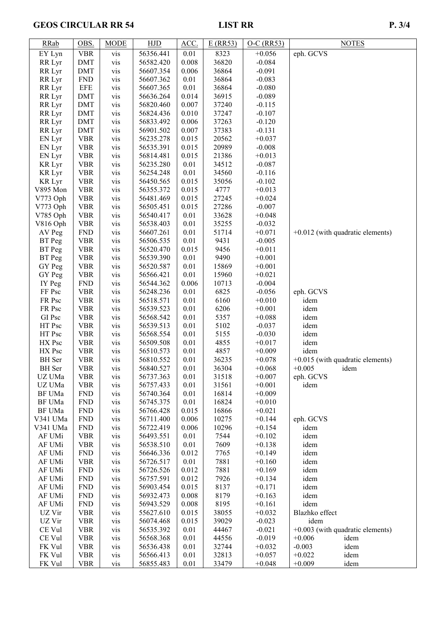# GEOS CIRCULAR RR 54 LIST RR DESCRIPTION AND RESIDENCE OF A SAMPLE P. 3/4

| <b>RRab</b>   | OBS.       | <b>MODE</b> | <b>HJD</b> | ACC.     | $E$ (RR53) | $O-C$ (RR53) | <b>NOTES</b>                       |
|---------------|------------|-------------|------------|----------|------------|--------------|------------------------------------|
| EY Lyn        | <b>VBR</b> | vis         | 56356.441  | 0.01     | 8323       | $+0.056$     | eph. GCVS                          |
| RR Lyr        | <b>DMT</b> | vis         | 56582.420  | 0.008    | 36820      | $-0.084$     |                                    |
| RR Lyr        | <b>DMT</b> | vis         | 56607.354  | 0.006    | 36864      | $-0.091$     |                                    |
| RR Lyr        | <b>FND</b> | vis         | 56607.362  | 0.01     | 36864      | $-0.083$     |                                    |
| RR Lyr        | <b>EFE</b> | vis         | 56607.365  | 0.01     | 36864      | $-0.080$     |                                    |
| RR Lyr        | <b>DMT</b> | vis         | 56636.264  | 0.014    | 36915      | $-0.089$     |                                    |
| RR Lyr        | <b>DMT</b> | vis         | 56820.460  | 0.007    | 37240      | $-0.115$     |                                    |
| RR Lyr        | <b>DMT</b> | vis         | 56824.436  | 0.010    | 37247      | $-0.107$     |                                    |
| RR Lyr        | <b>DMT</b> | vis         | 56833.492  | 0.006    | 37263      | $-0.120$     |                                    |
| RR Lyr        | <b>DMT</b> | vis         | 56901.502  | 0.007    | 37383      | $-0.131$     |                                    |
| EN Lyr        | <b>VBR</b> | vis         | 56235.278  | 0.015    | 20562      | $+0.037$     |                                    |
| EN Lyr        | <b>VBR</b> | vis         | 56535.391  | 0.015    | 20989      | $-0.008$     |                                    |
| EN Lyr        | <b>VBR</b> | vis         | 56814.481  | 0.015    | 21386      | $+0.013$     |                                    |
| <b>KR</b> Lyr | <b>VBR</b> | vis         | 56235.280  | 0.01     | 34512      | $-0.087$     |                                    |
| <b>KR</b> Lyr | <b>VBR</b> | vis         | 56254.248  | 0.01     | 34560      | $-0.116$     |                                    |
| <b>KR</b> Lyr | <b>VBR</b> | vis         | 56450.565  | 0.015    | 35056      | $-0.102$     |                                    |
| V895 Mon      | <b>VBR</b> | vis         | 56355.372  | 0.015    | 4777       | $+0.013$     |                                    |
| V773 Oph      | <b>VBR</b> | vis         | 56481.469  | 0.015    | 27245      | $+0.024$     |                                    |
| V773 Oph      | <b>VBR</b> | vis         | 56505.451  | 0.015    | 27286      | $-0.007$     |                                    |
| V785 Oph      | <b>VBR</b> | vis         | 56540.417  | 0.01     | 33628      | $+0.048$     |                                    |
| V816 Oph      | <b>VBR</b> | vis         | 56538.403  | 0.01     | 35255      | $-0.032$     |                                    |
| AV Peg        | <b>FND</b> | vis         | 56607.261  | 0.01     | 51714      | $+0.071$     | $+0.012$ (with quadratic elements) |
| BT Peg        | <b>VBR</b> | vis         | 56506.535  | 0.01     | 9431       | $-0.005$     |                                    |
| BT Peg        | <b>VBR</b> | vis         | 56520.470  | 0.015    | 9456       | $+0.011$     |                                    |
| BT Peg        | <b>VBR</b> | vis         | 56539.390  | 0.01     | 9490       | $+0.001$     |                                    |
| GY Peg        | <b>VBR</b> | vis         | 56520.587  | $0.01\,$ | 15869      | $+0.001$     |                                    |
| GY Peg        | <b>VBR</b> | vis         | 56566.421  | $0.01\,$ | 15960      | $+0.021$     |                                    |
| IY Peg        | <b>FND</b> | vis         | 56544.362  | 0.006    | 10713      | $-0.004$     |                                    |
| FF Psc        | <b>VBR</b> | vis         | 56248.236  | 0.01     | 6825       | $-0.056$     | eph. GCVS                          |
| FR Psc        | <b>VBR</b> | vis         | 56518.571  | 0.01     | 6160       | $+0.010$     | idem                               |
| FR Psc        | <b>VBR</b> | vis         | 56539.523  | 0.01     | 6206       | $+0.001$     | idem                               |
| GI Psc        | <b>VBR</b> | vis         | 56568.542  | 0.01     | 5357       | $+0.088$     | idem                               |
| HT Psc        | <b>VBR</b> | vis         | 56539.513  | 0.01     | 5102       | $-0.037$     | idem                               |
| HT Psc        | <b>VBR</b> | vis         | 56568.554  | 0.01     | 5155       | $-0.030$     | idem                               |
| HX Psc        | <b>VBR</b> | vis         | 56509.508  | 0.01     | 4855       | $+0.017$     | idem                               |
| HX Psc        | <b>VBR</b> | vis         | 56510.573  | 0.01     | 4857       | $+0.009$     | idem                               |
| <b>BH</b> Ser | <b>VBR</b> | vis         | 56810.552  | 0.01     | 36235      | $+0.078$     | $+0.015$ (with quadratic elements) |
| <b>BH</b> Ser | <b>VBR</b> | vis         | 56840.527  | 0.01     | 36304      | $+0.068$     | $+0.005$<br>idem                   |
| UZ UMa        | <b>VBR</b> | vis         | 56737.363  | 0.01     | 31518      | $+0.007$     | eph. GCVS                          |
| UZ UMa        | <b>VBR</b> | vis         | 56757.433  | 0.01     | 31561      | $+0.001$     | idem                               |
| BF UMa        | <b>FND</b> | vis         | 56740.364  | $0.01\,$ | 16814      | $+0.009$     |                                    |
| BF UMa        | <b>FND</b> | vis         | 56745.375  | 0.01     | 16824      | $+0.010$     |                                    |
| BF UMa        | <b>FND</b> | vis         | 56766.428  | 0.015    | 16866      | $+0.021$     |                                    |
| V341 UMa      | <b>FND</b> | vis         | 56711.400  | 0.006    | 10275      | $+0.144$     | eph. GCVS                          |
| V341 UMa      | <b>FND</b> | vis         | 56722.419  | 0.006    | 10296      | $+0.154$     | idem                               |
| AF UMi        | <b>VBR</b> | vis         | 56493.551  | 0.01     | 7544       | $+0.102$     | idem                               |
| AF UMi        | <b>VBR</b> | vis         | 56538.510  | 0.01     | 7609       | $+0.138$     | idem                               |
| AF UMi        | <b>FND</b> | vis         | 56646.336  | 0.012    | 7765       | $+0.149$     | idem                               |
| AF UMi        | <b>VBR</b> | vis         | 56726.517  | 0.01     | 7881       | $+0.160$     | idem                               |
| AF UMi        | <b>FND</b> | vis         | 56726.526  | 0.012    | 7881       | $+0.169$     | idem                               |
| AF UMi        | <b>FND</b> | vis         | 56757.591  | 0.012    | 7926       | $+0.134$     | idem                               |
| AF UMi        | <b>FND</b> | vis         | 56903.454  | 0.015    | 8137       | $+0.171$     | idem                               |
| AF UMi        | <b>FND</b> | vis         | 56932.473  | 0.008    | 8179       | $+0.163$     | idem                               |
| AF UMi        | <b>FND</b> | vis         | 56943.529  | 0.008    | 8195       | $+0.161$     | idem                               |
| UZ Vir        | <b>VBR</b> | vis         | 55627.610  | 0.015    | 38055      | $+0.032$     | Blazhko effect                     |
| UZ Vir        | <b>VBR</b> | vis         | 56074.468  | 0.015    | 39029      | $-0.023$     | idem                               |
| CE Vul        | <b>VBR</b> | vis         | 56535.392  | 0.01     | 44467      | $-0.021$     | $+0.003$ (with quadratic elements) |
| CE Vul        | <b>VBR</b> | vis         | 56568.368  | 0.01     | 44556      | $-0.019$     | $+0.006$<br>idem                   |
| FK Vul        | <b>VBR</b> | vis         | 56536.438  | 0.01     | 32744      | $+0.032$     | $-0.003$<br>idem                   |
| FK Vul        | <b>VBR</b> | vis         | 56566.413  | 0.01     | 32813      | $+0.057$     | $+0.022$<br>idem                   |
| FK Vul        | <b>VBR</b> | vis         | 56855.483  | 0.01     | 33479      | $+0.048$     | $+0.009$<br>idem                   |